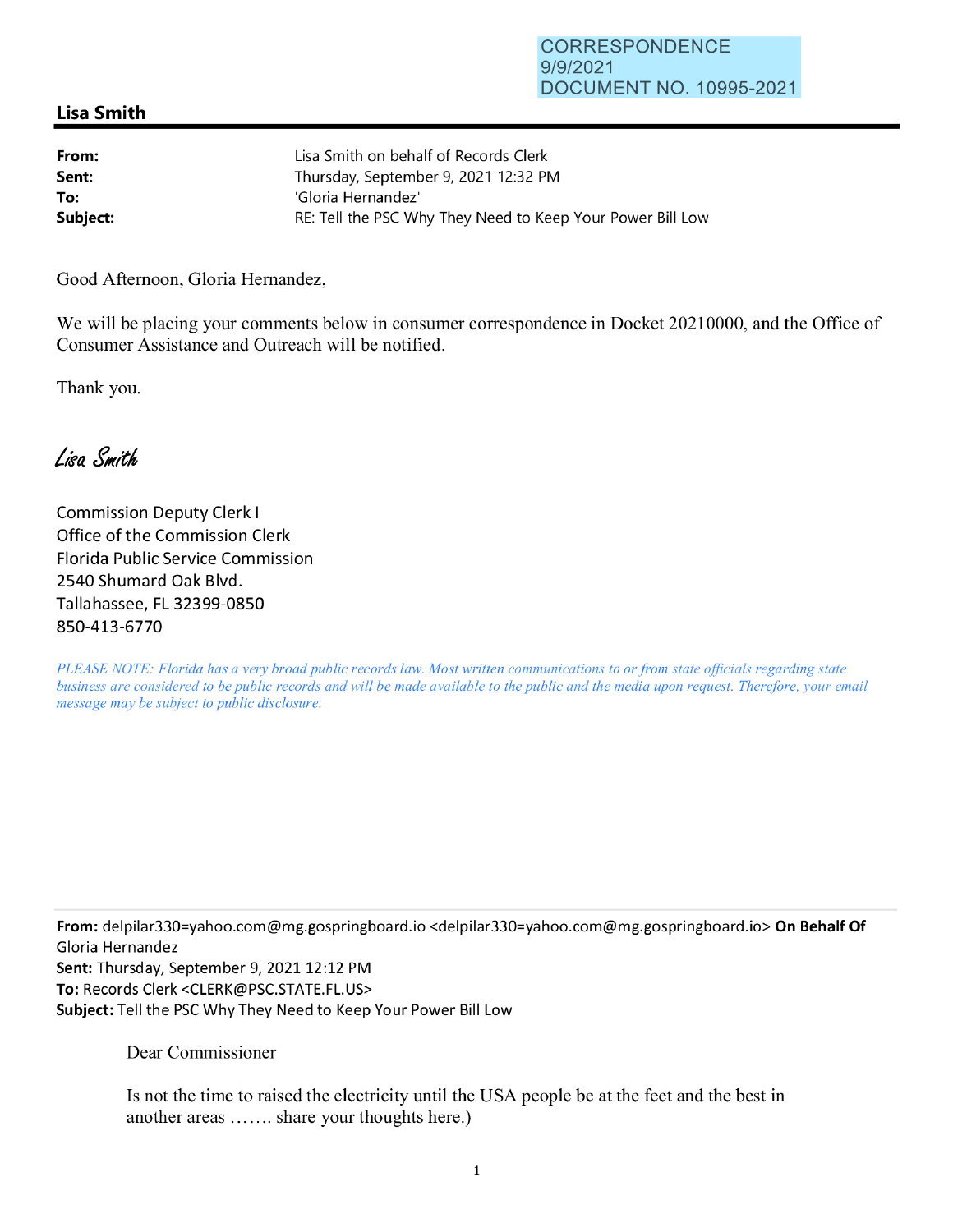## **Lisa Smith**

| From:    | Lisa Smith on behalf of Records Clerk                      |
|----------|------------------------------------------------------------|
| Sent:    | Thursday, September 9, 2021 12:32 PM                       |
| To:      | 'Gloria Hernandez'                                         |
| Subject: | RE: Tell the PSC Why They Need to Keep Your Power Bill Low |

Good Afternoon, Gloria Hernandez,

We will be placing your comments below in consumer correspondence in Docket 20210000, and the Office of Consumer Assistance and Outreach will be notified.

Thank you.

Lisa Smith

Commission Deputy Clerk I Office of the Commission Clerk Florida Public Service Commission 2540 Shumard Oak Blvd. Tallahassee, FL 32399-0850 850-413-6770

*PLEASE NOTE: Florida has a very broad public records law. Most written communications to or from state officials regarding state business are considered to be public records and will be made available to the public and the media upon request. Therefore, your email message may be subject to public disclosure.* 

**From:** delpi1ar330=yahoo.com@mg.gospringboard.io <delpi1ar330=yahoo.com@mg.gospringboard.io> **On Behalf Of**  Gloria Hernandez Sent: Thursday, September 9, 2021 12:12 PM **To:** Records Clerk <CLERK@PSC.STATE.FL.US> **Subject:** Tell the PSC Why They Need to Keep Your Power Bill Low

Dear Commissioner

Is not the time to raised the electricity until the USA people be at the feet and the best in another areas ....... share your thoughts here.)